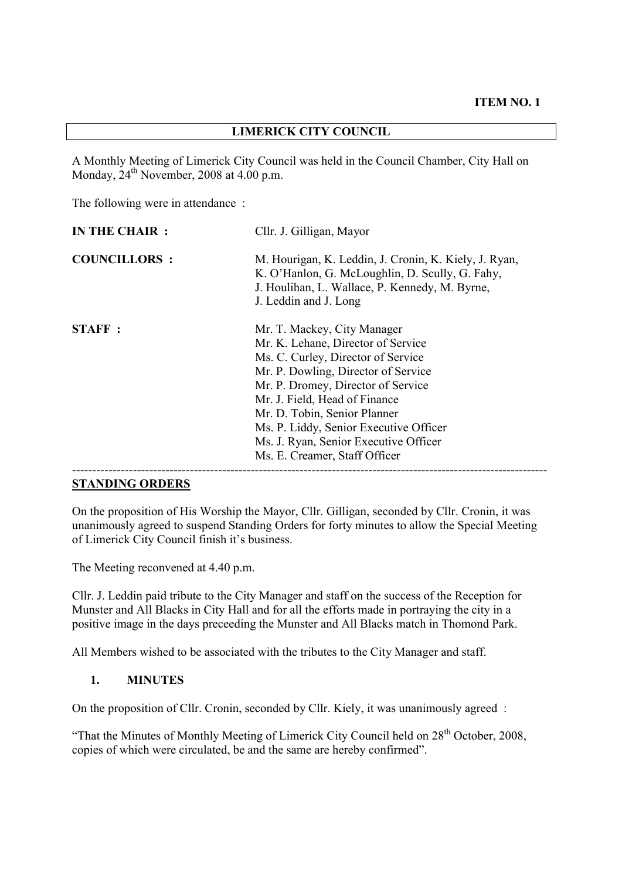### **LIMERICK CITY COUNCIL**

A Monthly Meeting of Limerick City Council was held in the Council Chamber, City Hall on Monday,  $24<sup>th</sup>$  November, 2008 at 4.00 p.m.

The following were in attendance :

| <b>COUNCILLORS:</b><br>K. O'Hanlon, G. McLoughlin, D. Scully, G. Fahy,<br>J. Houlihan, L. Wallace, P. Kennedy, M. Byrne,<br>J. Leddin and J. Long                                                                                                                                                                                                                                          | IN THE CHAIR : | Cllr. J. Gilligan, Mayor                              |  |
|--------------------------------------------------------------------------------------------------------------------------------------------------------------------------------------------------------------------------------------------------------------------------------------------------------------------------------------------------------------------------------------------|----------------|-------------------------------------------------------|--|
|                                                                                                                                                                                                                                                                                                                                                                                            |                | M. Hourigan, K. Leddin, J. Cronin, K. Kiely, J. Ryan, |  |
| <b>STAFF:</b><br>Mr. T. Mackey, City Manager<br>Mr. K. Lehane, Director of Service<br>Ms. C. Curley, Director of Service<br>Mr. P. Dowling, Director of Service<br>Mr. P. Dromey, Director of Service<br>Mr. J. Field, Head of Finance<br>Mr. D. Tobin, Senior Planner<br>Ms. P. Liddy, Senior Executive Officer<br>Ms. J. Ryan, Senior Executive Officer<br>Ms. E. Creamer, Staff Officer |                |                                                       |  |

#### **STANDING ORDERS**

On the proposition of His Worship the Mayor, Cllr. Gilligan, seconded by Cllr. Cronin, it was unanimously agreed to suspend Standing Orders for forty minutes to allow the Special Meeting of Limerick City Council finish it's business.

The Meeting reconvened at 4.40 p.m.

Cllr. J. Leddin paid tribute to the City Manager and staff on the success of the Reception for Munster and All Blacks in City Hall and for all the efforts made in portraying the city in a positive image in the days preceeding the Munster and All Blacks match in Thomond Park.

All Members wished to be associated with the tributes to the City Manager and staff.

#### **1. MINUTES**

On the proposition of Cllr. Cronin, seconded by Cllr. Kiely, it was unanimously agreed :

"That the Minutes of Monthly Meeting of Limerick City Council held on 28<sup>th</sup> October, 2008, copies of which were circulated, be and the same are hereby confirmed".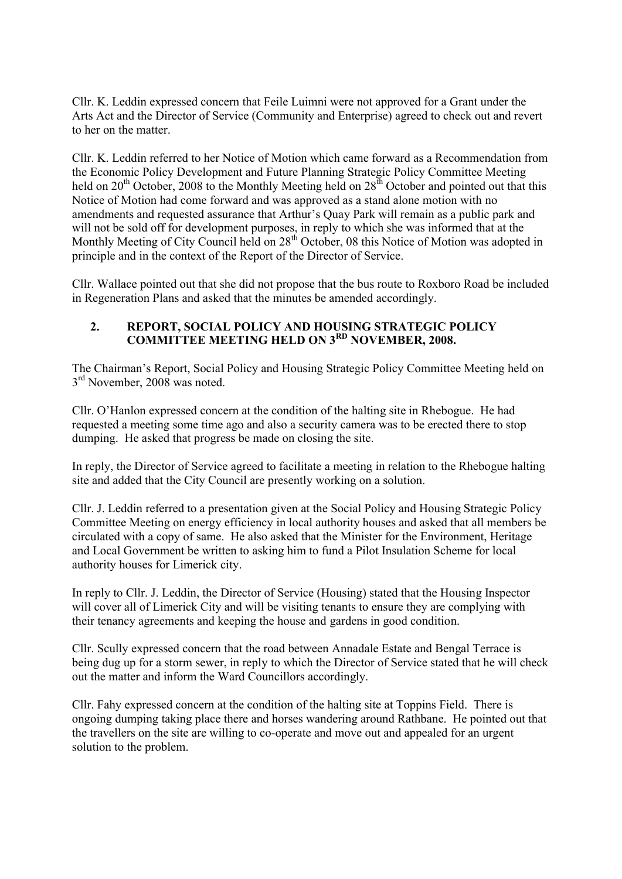Cllr. K. Leddin expressed concern that Feile Luimni were not approved for a Grant under the Arts Act and the Director of Service (Community and Enterprise) agreed to check out and revert to her on the matter.

Cllr. K. Leddin referred to her Notice of Motion which came forward as a Recommendation from the Economic Policy Development and Future Planning Strategic Policy Committee Meeting held on  $20<sup>th</sup>$  October, 2008 to the Monthly Meeting held on  $28<sup>th</sup>$  October and pointed out that this Notice of Motion had come forward and was approved as a stand alone motion with no amendments and requested assurance that Arthur's Quay Park will remain as a public park and will not be sold off for development purposes, in reply to which she was informed that at the Monthly Meeting of City Council held on 28<sup>th</sup> October, 08 this Notice of Motion was adopted in principle and in the context of the Report of the Director of Service.

Cllr. Wallace pointed out that she did not propose that the bus route to Roxboro Road be included in Regeneration Plans and asked that the minutes be amended accordingly.

### **2. REPORT, SOCIAL POLICY AND HOUSING STRATEGIC POLICY COMMITTEE MEETING HELD ON 3RD NOVEMBER, 2008.**

The Chairman's Report, Social Policy and Housing Strategic Policy Committee Meeting held on  $3<sup>rd</sup>$  November, 2008 was noted.

Cllr. O'Hanlon expressed concern at the condition of the halting site in Rhebogue. He had requested a meeting some time ago and also a security camera was to be erected there to stop dumping. He asked that progress be made on closing the site.

In reply, the Director of Service agreed to facilitate a meeting in relation to the Rhebogue halting site and added that the City Council are presently working on a solution.

Cllr. J. Leddin referred to a presentation given at the Social Policy and Housing Strategic Policy Committee Meeting on energy efficiency in local authority houses and asked that all members be circulated with a copy of same. He also asked that the Minister for the Environment, Heritage and Local Government be written to asking him to fund a Pilot Insulation Scheme for local authority houses for Limerick city.

In reply to Cllr. J. Leddin, the Director of Service (Housing) stated that the Housing Inspector will cover all of Limerick City and will be visiting tenants to ensure they are complying with their tenancy agreements and keeping the house and gardens in good condition.

Cllr. Scully expressed concern that the road between Annadale Estate and Bengal Terrace is being dug up for a storm sewer, in reply to which the Director of Service stated that he will check out the matter and inform the Ward Councillors accordingly.

Cllr. Fahy expressed concern at the condition of the halting site at Toppins Field. There is ongoing dumping taking place there and horses wandering around Rathbane. He pointed out that the travellers on the site are willing to co-operate and move out and appealed for an urgent solution to the problem.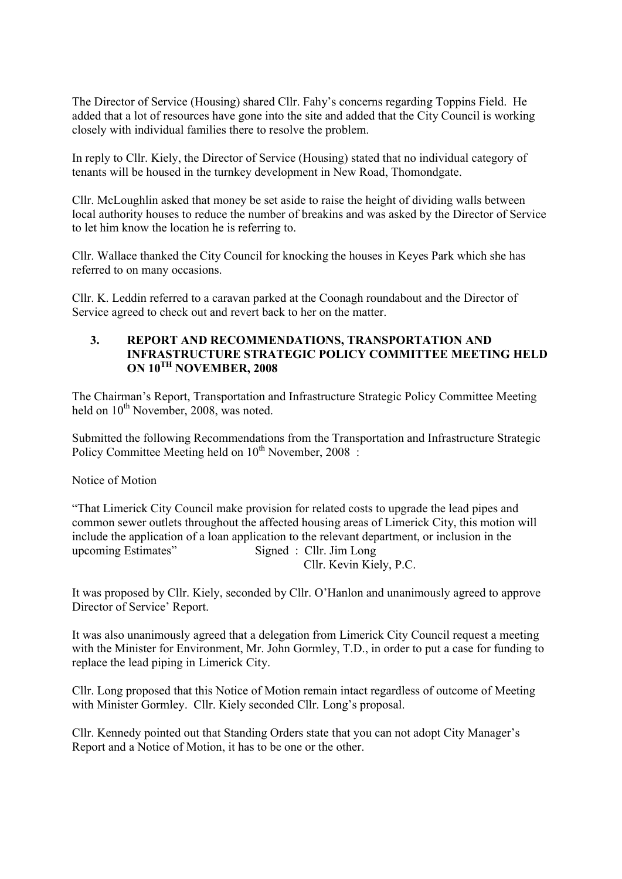The Director of Service (Housing) shared Cllr. Fahy's concerns regarding Toppins Field. He added that a lot of resources have gone into the site and added that the City Council is working closely with individual families there to resolve the problem.

In reply to Cllr. Kiely, the Director of Service (Housing) stated that no individual category of tenants will be housed in the turnkey development in New Road, Thomondgate.

Cllr. McLoughlin asked that money be set aside to raise the height of dividing walls between local authority houses to reduce the number of breakins and was asked by the Director of Service to let him know the location he is referring to.

Cllr. Wallace thanked the City Council for knocking the houses in Keyes Park which she has referred to on many occasions.

Cllr. K. Leddin referred to a caravan parked at the Coonagh roundabout and the Director of Service agreed to check out and revert back to her on the matter.

#### **3. REPORT AND RECOMMENDATIONS, TRANSPORTATION AND INFRASTRUCTURE STRATEGIC POLICY COMMITTEE MEETING HELD ON 10TH NOVEMBER, 2008**

The Chairman's Report, Transportation and Infrastructure Strategic Policy Committee Meeting held on  $10^{th}$  November, 2008, was noted.

Submitted the following Recommendations from the Transportation and Infrastructure Strategic Policy Committee Meeting held on  $10^{th}$  November, 2008 :

#### Notice of Motion

"That Limerick City Council make provision for related costs to upgrade the lead pipes and common sewer outlets throughout the affected housing areas of Limerick City, this motion will include the application of a loan application to the relevant department, or inclusion in the upcoming Estimates" Signed : Cllr. Jim Long Cllr. Kevin Kiely, P.C.

It was proposed by Cllr. Kiely, seconded by Cllr. O'Hanlon and unanimously agreed to approve Director of Service' Report.

It was also unanimously agreed that a delegation from Limerick City Council request a meeting with the Minister for Environment, Mr. John Gormley, T.D., in order to put a case for funding to replace the lead piping in Limerick City.

Cllr. Long proposed that this Notice of Motion remain intact regardless of outcome of Meeting with Minister Gormley. Cllr. Kiely seconded Cllr. Long's proposal.

Cllr. Kennedy pointed out that Standing Orders state that you can not adopt City Manager's Report and a Notice of Motion, it has to be one or the other.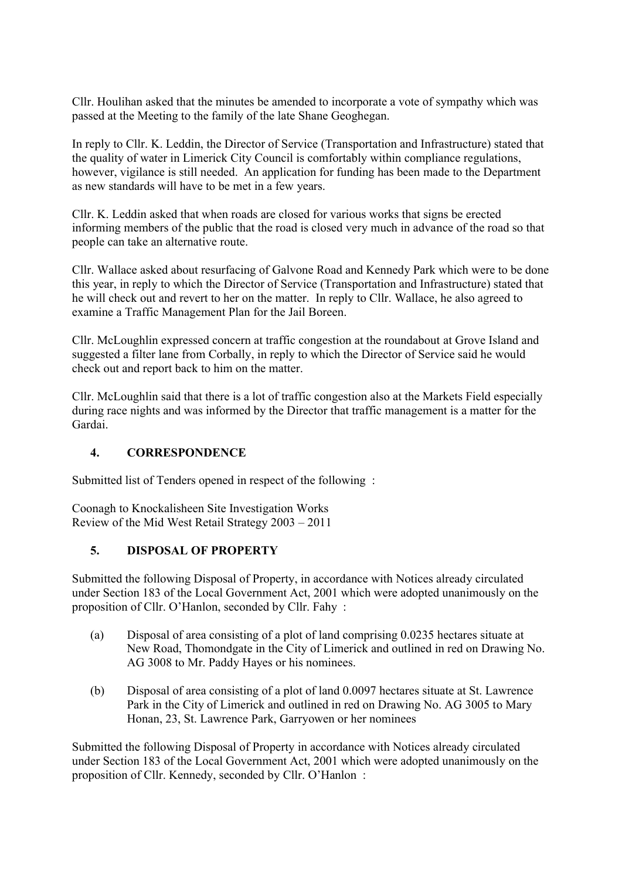Cllr. Houlihan asked that the minutes be amended to incorporate a vote of sympathy which was passed at the Meeting to the family of the late Shane Geoghegan.

In reply to Cllr. K. Leddin, the Director of Service (Transportation and Infrastructure) stated that the quality of water in Limerick City Council is comfortably within compliance regulations, however, vigilance is still needed. An application for funding has been made to the Department as new standards will have to be met in a few years.

Cllr. K. Leddin asked that when roads are closed for various works that signs be erected informing members of the public that the road is closed very much in advance of the road so that people can take an alternative route.

Cllr. Wallace asked about resurfacing of Galvone Road and Kennedy Park which were to be done this year, in reply to which the Director of Service (Transportation and Infrastructure) stated that he will check out and revert to her on the matter. In reply to Cllr. Wallace, he also agreed to examine a Traffic Management Plan for the Jail Boreen.

Cllr. McLoughlin expressed concern at traffic congestion at the roundabout at Grove Island and suggested a filter lane from Corbally, in reply to which the Director of Service said he would check out and report back to him on the matter.

Cllr. McLoughlin said that there is a lot of traffic congestion also at the Markets Field especially during race nights and was informed by the Director that traffic management is a matter for the Gardai.

## **4. CORRESPONDENCE**

Submitted list of Tenders opened in respect of the following :

Coonagh to Knockalisheen Site Investigation Works Review of the Mid West Retail Strategy 2003 – 2011

## **5. DISPOSAL OF PROPERTY**

Submitted the following Disposal of Property, in accordance with Notices already circulated under Section 183 of the Local Government Act, 2001 which were adopted unanimously on the proposition of Cllr. O'Hanlon, seconded by Cllr. Fahy :

- (a) Disposal of area consisting of a plot of land comprising 0.0235 hectares situate at New Road, Thomondgate in the City of Limerick and outlined in red on Drawing No. AG 3008 to Mr. Paddy Hayes or his nominees.
- (b) Disposal of area consisting of a plot of land 0.0097 hectares situate at St. Lawrence Park in the City of Limerick and outlined in red on Drawing No. AG 3005 to Mary Honan, 23, St. Lawrence Park, Garryowen or her nominees

Submitted the following Disposal of Property in accordance with Notices already circulated under Section 183 of the Local Government Act, 2001 which were adopted unanimously on the proposition of Cllr. Kennedy, seconded by Cllr. O'Hanlon :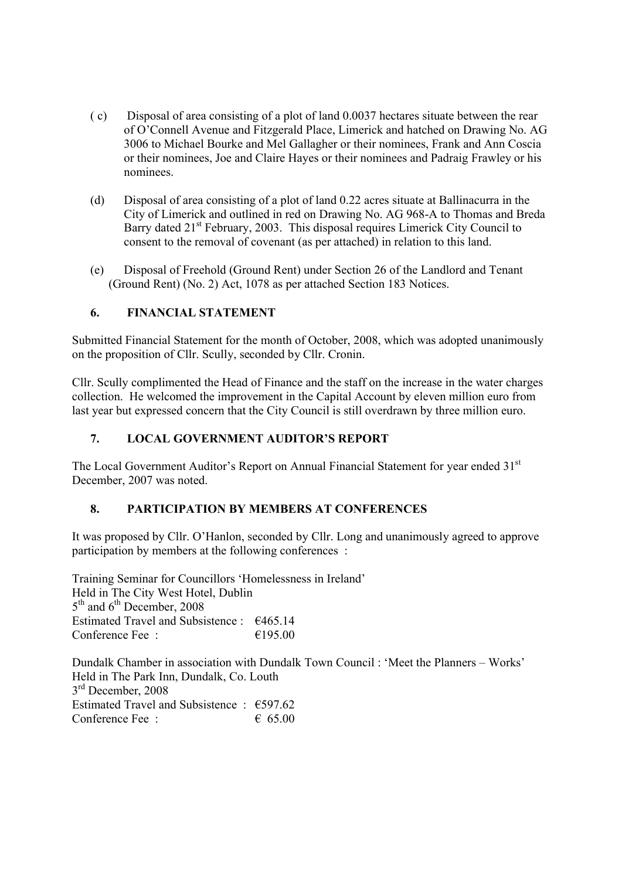- ( c) Disposal of area consisting of a plot of land 0.0037 hectares situate between the rear of O'Connell Avenue and Fitzgerald Place, Limerick and hatched on Drawing No. AG 3006 to Michael Bourke and Mel Gallagher or their nominees, Frank and Ann Coscia or their nominees, Joe and Claire Hayes or their nominees and Padraig Frawley or his nominees.
- (d) Disposal of area consisting of a plot of land 0.22 acres situate at Ballinacurra in the City of Limerick and outlined in red on Drawing No. AG 968-A to Thomas and Breda Barry dated 21<sup>st</sup> February, 2003. This disposal requires Limerick City Council to consent to the removal of covenant (as per attached) in relation to this land.
- (e) Disposal of Freehold (Ground Rent) under Section 26 of the Landlord and Tenant (Ground Rent) (No. 2) Act, 1078 as per attached Section 183 Notices.

## **6. FINANCIAL STATEMENT**

Submitted Financial Statement for the month of October, 2008, which was adopted unanimously on the proposition of Cllr. Scully, seconded by Cllr. Cronin.

Cllr. Scully complimented the Head of Finance and the staff on the increase in the water charges collection. He welcomed the improvement in the Capital Account by eleven million euro from last year but expressed concern that the City Council is still overdrawn by three million euro.

# **7. LOCAL GOVERNMENT AUDITOR'S REPORT**

The Local Government Auditor's Report on Annual Financial Statement for year ended 31<sup>st</sup> December, 2007 was noted.

## **8. PARTICIPATION BY MEMBERS AT CONFERENCES**

It was proposed by Cllr. O'Hanlon, seconded by Cllr. Long and unanimously agreed to approve participation by members at the following conferences :

Training Seminar for Councillors 'Homelessness in Ireland' Held in The City West Hotel, Dublin  $5<sup>th</sup>$  and  $6<sup>th</sup>$  December, 2008 Estimated Travel and Subsistence : €465.14 Conference Fee :  $\epsilon$  195.00

Dundalk Chamber in association with Dundalk Town Council : 'Meet the Planners – Works' Held in The Park Inn, Dundalk, Co. Louth  $3<sup>rd</sup>$  December, 2008 Estimated Travel and Subsistence :  $\epsilon$ 597.62 Conference Fee :  $65.00$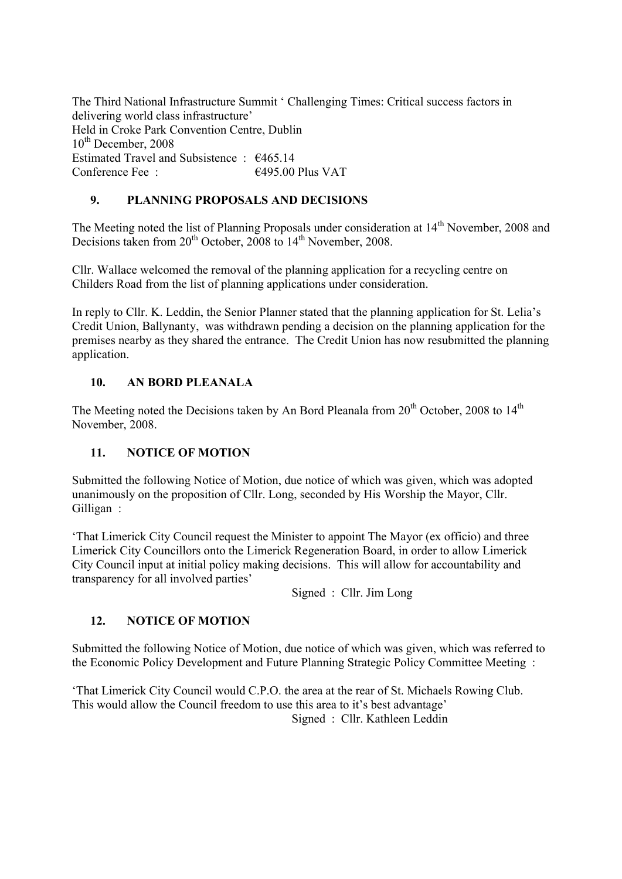The Third National Infrastructure Summit ' Challenging Times: Critical success factors in delivering world class infrastructure' Held in Croke Park Convention Centre, Dublin  $10^{th}$  December, 2008 Estimated Travel and Subsistence : €465.14 Conference Fee :  $6495.00$  Plus VAT

# **9. PLANNING PROPOSALS AND DECISIONS**

The Meeting noted the list of Planning Proposals under consideration at 14<sup>th</sup> November, 2008 and Decisions taken from  $20^{th}$  October,  $2008$  to  $14^{th}$  November, 2008.

Cllr. Wallace welcomed the removal of the planning application for a recycling centre on Childers Road from the list of planning applications under consideration.

In reply to Cllr. K. Leddin, the Senior Planner stated that the planning application for St. Lelia's Credit Union, Ballynanty, was withdrawn pending a decision on the planning application for the premises nearby as they shared the entrance. The Credit Union has now resubmitted the planning application.

# **10. AN BORD PLEANALA**

The Meeting noted the Decisions taken by An Bord Pleanala from  $20<sup>th</sup>$  October, 2008 to  $14<sup>th</sup>$ November, 2008.

# **11. NOTICE OF MOTION**

Submitted the following Notice of Motion, due notice of which was given, which was adopted unanimously on the proposition of Cllr. Long, seconded by His Worship the Mayor, Cllr. Gilligan :

'That Limerick City Council request the Minister to appoint The Mayor (ex officio) and three Limerick City Councillors onto the Limerick Regeneration Board, in order to allow Limerick City Council input at initial policy making decisions. This will allow for accountability and transparency for all involved parties'

Signed : Cllr. Jim Long

## **12. NOTICE OF MOTION**

Submitted the following Notice of Motion, due notice of which was given, which was referred to the Economic Policy Development and Future Planning Strategic Policy Committee Meeting :

'That Limerick City Council would C.P.O. the area at the rear of St. Michaels Rowing Club. This would allow the Council freedom to use this area to it's best advantage' Signed : Cllr. Kathleen Leddin